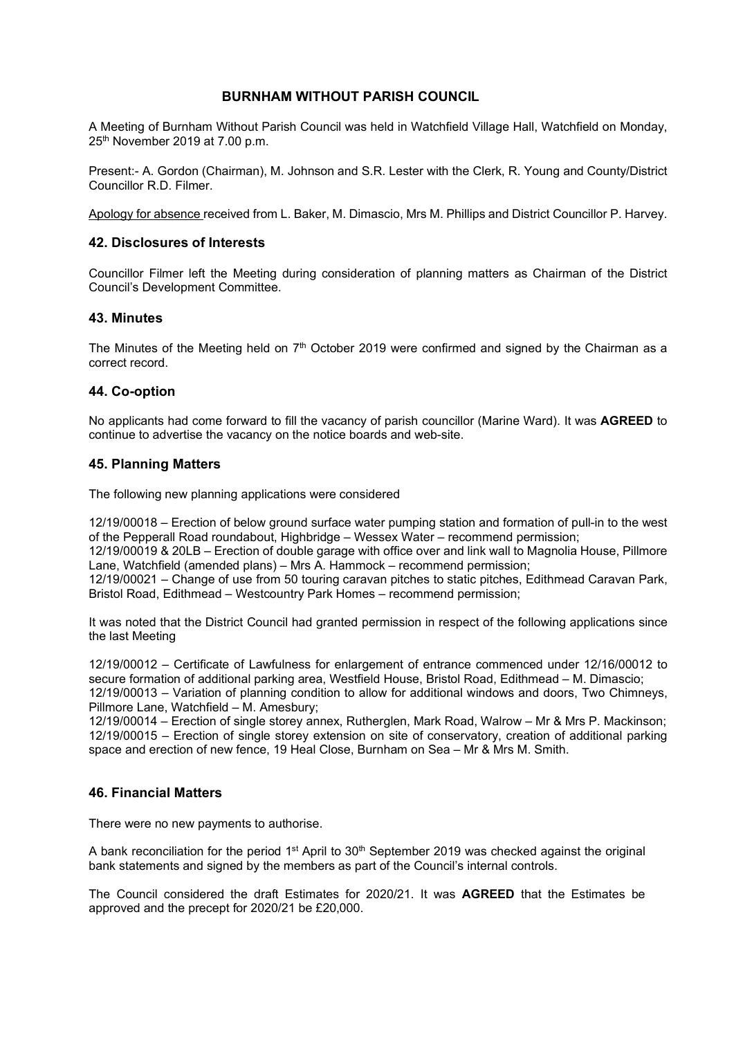### **BURNHAM WITHOUT PARISH COUNCIL**

A Meeting of Burnham Without Parish Council was held in Watchfield Village Hall, Watchfield on Monday, 25th November 2019 at 7.00 p.m.

Present:- A. Gordon (Chairman), M. Johnson and S.R. Lester with the Clerk, R. Young and County/District Councillor R.D. Filmer.

Apology for absence received from L. Baker, M. Dimascio, Mrs M. Phillips and District Councillor P. Harvey.

## **42. Disclosures of Interests**

Councillor Filmer left the Meeting during consideration of planning matters as Chairman of the District Council's Development Committee.

## **43. Minutes**

The Minutes of the Meeting held on  $7<sup>th</sup>$  October 2019 were confirmed and signed by the Chairman as a correct record.

### **44. Co-option**

No applicants had come forward to fill the vacancy of parish councillor (Marine Ward). It was **AGREED** to continue to advertise the vacancy on the notice boards and web-site.

### **45. Planning Matters**

The following new planning applications were considered

12/19/00018 – Erection of below ground surface water pumping station and formation of pull-in to the west of the Pepperall Road roundabout, Highbridge – Wessex Water – recommend permission;

12/19/00019 & 20LB – Erection of double garage with office over and link wall to Magnolia House, Pillmore Lane, Watchfield (amended plans) – Mrs A. Hammock – recommend permission;

12/19/00021 – Change of use from 50 touring caravan pitches to static pitches, Edithmead Caravan Park, Bristol Road, Edithmead – Westcountry Park Homes – recommend permission;

It was noted that the District Council had granted permission in respect of the following applications since the last Meeting

12/19/00012 – Certificate of Lawfulness for enlargement of entrance commenced under 12/16/00012 to secure formation of additional parking area, Westfield House, Bristol Road, Edithmead – M. Dimascio; 12/19/00013 – Variation of planning condition to allow for additional windows and doors, Two Chimneys, Pillmore Lane, Watchfield – M. Amesbury;

12/19/00014 – Erection of single storey annex, Rutherglen, Mark Road, Walrow – Mr & Mrs P. Mackinson; 12/19/00015 – Erection of single storey extension on site of conservatory, creation of additional parking space and erection of new fence, 19 Heal Close, Burnham on Sea – Mr & Mrs M. Smith.

## **46. Financial Matters**

There were no new payments to authorise.

A bank reconciliation for the period  $1<sup>st</sup>$  April to  $30<sup>th</sup>$  September 2019 was checked against the original bank statements and signed by the members as part of the Council's internal controls.

The Council considered the draft Estimates for 2020/21. It was **AGREED** that the Estimates be approved and the precept for 2020/21 be £20,000.